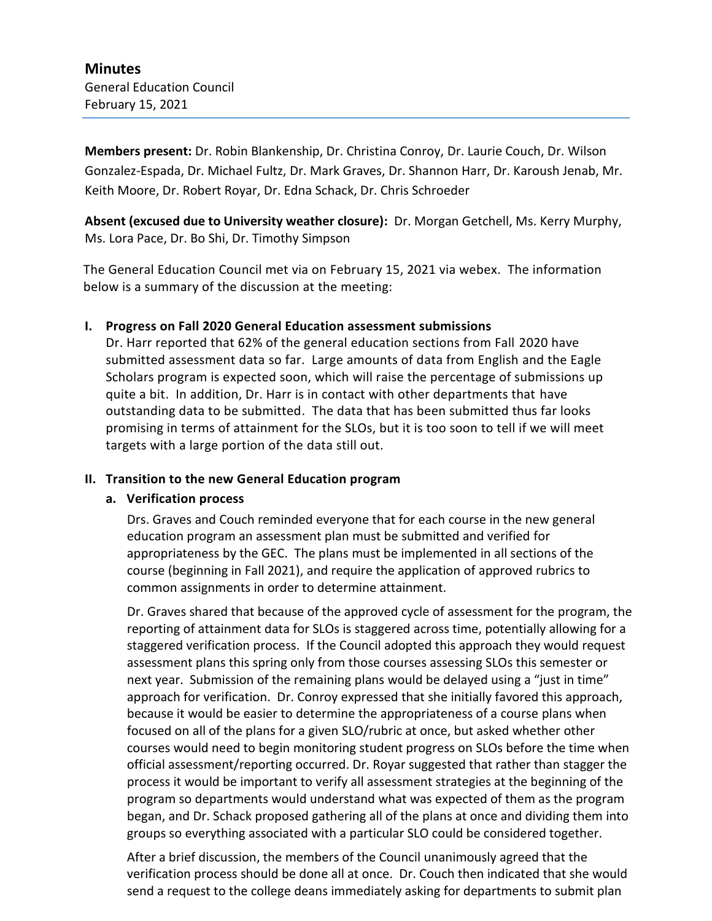**Members present:** Dr. Robin Blankenship, Dr. Christina Conroy, Dr. Laurie Couch, Dr. Wilson Gonzalez-Espada, Dr. Michael Fultz, Dr. Mark Graves, Dr. Shannon Harr, Dr. Karoush Jenab, Mr. Keith Moore, Dr. Robert Royar, Dr. Edna Schack, Dr. Chris Schroeder

**Absent (excused due to University weather closure):** Dr. Morgan Getchell, Ms. Kerry Murphy, Ms. Lora Pace, Dr. Bo Shi, Dr. Timothy Simpson

 The General Education Council met via on February 15, 2021 via webex. The information below is a summary of the discussion at the meeting:

## **I. Progress on Fall 2020 General Education assessment submissions**

Dr. Harr reported that 62% of the general education sections from Fall 2020 have submitted assessment data so far. Large amounts of data from English and the Eagle Scholars program is expected soon, which will raise the percentage of submissions up quite a bit. In addition, Dr. Harr is in contact with other departments that have outstanding data to be submitted. The data that has been submitted thus far looks promising in terms of attainment for the SLOs, but it is too soon to tell if we will meet targets with a large portion of the data still out.

# **II. Transition to the new General Education program**

#### **a. Verification process**

Drs. Graves and Couch reminded everyone that for each course in the new general education program an assessment plan must be submitted and verified for appropriateness by the GEC. The plans must be implemented in all sections of the course (beginning in Fall 2021), and require the application of approved rubrics to common assignments in order to determine attainment.

Dr. Graves shared that because of the approved cycle of assessment for the program, the reporting of attainment data for SLOs is staggered across time, potentially allowing for a staggered verification process. If the Council adopted this approach they would request assessment plans this spring only from those courses assessing SLOs this semester or next year. Submission of the remaining plans would be delayed using a "just in time" approach for verification. Dr. Conroy expressed that she initially favored this approach, because it would be easier to determine the appropriateness of a course plans when focused on all of the plans for a given SLO/rubric at once, but asked whether other courses would need to begin monitoring student progress on SLOs before the time when official assessment/reporting occurred. Dr. Royar suggested that rather than stagger the process it would be important to verify all assessment strategies at the beginning of the program so departments would understand what was expected of them as the program began, and Dr. Schack proposed gathering all of the plans at once and dividing them into groups so everything associated with a particular SLO could be considered together.

After a brief discussion, the members of the Council unanimously agreed that the verification process should be done all at once. Dr. Couch then indicated that she would send a request to the college deans immediately asking for departments to submit plan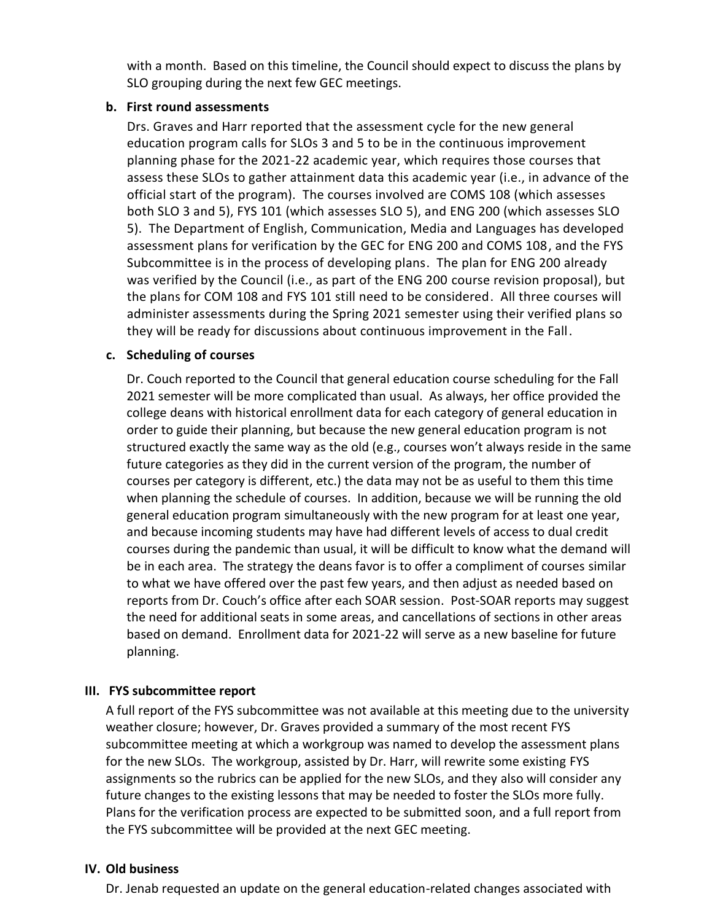with a month. Based on this timeline, the Council should expect to discuss the plans by SLO grouping during the next few GEC meetings.

### **b. First round assessments**

Drs. Graves and Harr reported that the assessment cycle for the new general education program calls for SLOs 3 and 5 to be in the continuous improvement planning phase for the 2021-22 academic year, which requires those courses that assess these SLOs to gather attainment data this academic year (i.e., in advance of the official start of the program). The courses involved are COMS 108 (which assesses both SLO 3 and 5), FYS 101 (which assesses SLO 5), and ENG 200 (which assesses SLO 5). The Department of English, Communication, Media and Languages has developed assessment plans for verification by the GEC for ENG 200 and COMS 108, and the FYS Subcommittee is in the process of developing plans. The plan for ENG 200 already was verified by the Council (i.e., as part of the ENG 200 course revision proposal), but the plans for COM 108 and FYS 101 still need to be considered. All three courses will administer assessments during the Spring 2021 semester using their verified plans so they will be ready for discussions about continuous improvement in the Fall.

## **c. Scheduling of courses**

Dr. Couch reported to the Council that general education course scheduling for the Fall 2021 semester will be more complicated than usual. As always, her office provided the college deans with historical enrollment data for each category of general education in order to guide their planning, but because the new general education program is not structured exactly the same way as the old (e.g., courses won't always reside in the same future categories as they did in the current version of the program, the number of courses per category is different, etc.) the data may not be as useful to them this time when planning the schedule of courses. In addition, because we will be running the old general education program simultaneously with the new program for at least one year, and because incoming students may have had different levels of access to dual credit courses during the pandemic than usual, it will be difficult to know what the demand will be in each area. The strategy the deans favor is to offer a compliment of courses similar to what we have offered over the past few years, and then adjust as needed based on reports from Dr. Couch's office after each SOAR session. Post-SOAR reports may suggest the need for additional seats in some areas, and cancellations of sections in other areas based on demand. Enrollment data for 2021-22 will serve as a new baseline for future planning.

# **III. FYS subcommittee report**

A full report of the FYS subcommittee was not available at this meeting due to the university weather closure; however, Dr. Graves provided a summary of the most recent FYS subcommittee meeting at which a workgroup was named to develop the assessment plans for the new SLOs. The workgroup, assisted by Dr. Harr, will rewrite some existing FYS assignments so the rubrics can be applied for the new SLOs, and they also will consider any future changes to the existing lessons that may be needed to foster the SLOs more fully. Plans for the verification process are expected to be submitted soon, and a full report from the FYS subcommittee will be provided at the next GEC meeting.

#### **IV. Old business**

Dr. Jenab requested an update on the general education-related changes associated with